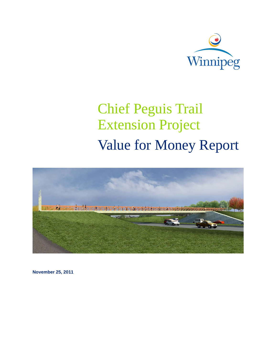

# Chief Peguis Trail Extension Project Value for Money Report



**November 25, 2011**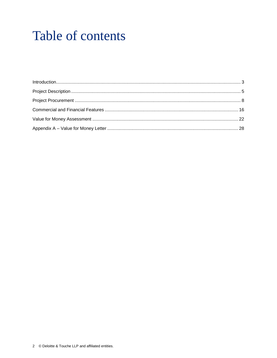# Table of contents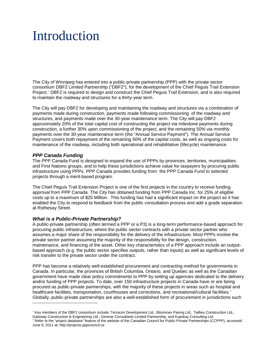# <span id="page-2-0"></span>Introduction

The City of Winnipeg has entered into a public-private partnership (PPP) with the private sector consortium DBF2 Limited Partnership ("DBF2"), for the development of the Chief Peguis Trail Extension Project.<sup>[1](#page-2-1)</sup> DBF2 is required to design and construct the Chief Peguis Trail Extension, and is also required to maintain the roadway and structures for a thirty-year term.

The City will pay DBF2 for developing and maintaining the roadway and structures via a combination of payments made during construction, payments made following commissioning of the roadway and structures, and payments made over the 30-year maintenance term. The City will pay DBF2 approximately 20% of the total capital cost of constructing the project via milestone payments during construction, a further 30% upon commissioning of the project, and the remaining 50% via monthly payments over the 30-year maintenance term (the "Annual Service Payment"). The Annual Service Payment covers both repayment of the remaining 50% of the capital costs, as well as ongoing costs for maintenance of the roadway, including both operational and rehabilitative (lifecycle) maintenance.

# *PPP Canada Funding*

-

The PPP Canada Fund is designed to expand the use of PPPs by provinces, territories, municipalities and First Nations groups, and to help these jurisdictions achieve value for taxpayers by procuring public infrastructure using PPPs. PPP Canada provides funding from the PPP Canada Fund to selected projects through a merit-based program.

The Chief Peguis Trail Extension Project is one of the first projects in the country to receive funding approval from PPP Canada. The City has obtained funding from PPP Canada Inc. for 25% of eligible costs up to a maximum of \$25 Million. This funding has had a significant impact on the project as it has enabled the City to respond to feedback from the public consultation process and add a grade separation at Rothesay Street.

# *What is a Public-Private Partnership?*

A public-private partnership (often termed a PPP or a P3) is a long-term performance-based approach for procuring public infrastructure, where the public sector contracts with a private sector partner who assumes a major share of the responsibility for the delivery of the infrastructure. Most PPPs involve the private sector partner assuming the majority of the responsibility for the design, construction, maintenance, and financing of the asset. Other key characteristics of a PPP approach include an outputbased approach (e.g. the public sector specifies outputs, rather than inputs) as well as significant levels of risk transfer to the private sector under the contract.

PPP has become a relatively well-established procurement and contracting method for governments in Canada. In particular, the provinces of British Columbia, Ontario, and Quebec as well as the Canadian government have made clear policy commitments to PPP by setting up agencies dedicated to the delivery and/or funding of PPP projects. To date, over 150 infrastructure projects in Canada have or are being procured as public-private partnerships, with the majority of these projects in areas such as hospital and healthcare facilities, transportation, courthouses and corrections, and recreational/cultural facilities.<sup>[2](#page-2-2)</sup> Globally, public-private partnerships are also a well-established form of procurement in jurisdictions such

<span id="page-2-1"></span><sup>&</sup>lt;sup>1</sup> Key members of the DBF2 consortium include: Terracon Development Ltd., Bituminex Paving Ltd., Taillieu Construction Ltd., Gateway Construction & Engineering Ltd., Genivar Consultants Limited Partnership, and Kupskay Consulting Ltd.<br><sup>2</sup> Refer to the "project database" feature of the website of the Canadian Council for Public-Private Partnershi

<span id="page-2-2"></span>June 9, 2011 at: http://projects.pppcouncil.ca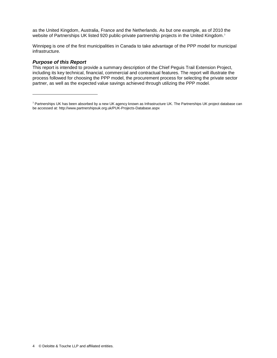as the United Kingdom, Australia, France and the Netherlands. As but one example, as of 2010 the website of Partnerships UK listed 920 public-private partnership projects in the United Kingdom.<sup>[3](#page-3-0)</sup>

Winnipeg is one of the first municipalities in Canada to take advantage of the PPP model for municipal infrastructure.

### *Purpose of this Report*

-

This report is intended to provide a summary description of the Chief Peguis Trail Extension Project, including its key technical, financial, commercial and contractual features. The report will illustrate the process followed for choosing the PPP model, the procurement process for selecting the private sector partner, as well as the expected value savings achieved through utilizing the PPP model.

<span id="page-3-0"></span><sup>&</sup>lt;sup>3</sup> Partnerships UK has been absorbed by a new UK agency known as Infrastructure UK. The Partnerships UK project database can be accessed at: http://www.partnershipsuk.org.uk/PUK-Projects-Database.aspx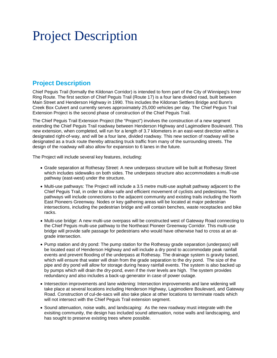# <span id="page-4-0"></span>Project Description

# **Project Description**

Chief Peguis Trail (formally the Kildonan Corridor) is intended to form part of the City of Winnipeg's Inner Ring Route. The first section of Chief Peguis Trail (Route 17) is a four lane divided road, built between Main Street and Henderson Highway in 1990. This includes the Kildonan Settlers Bridge and Bunn's Creek Box Culvert and currently serves approximately 25,000 vehicles per day. The Chief Peguis Trail Extension Project is the second phase of construction of the Chief Peguis Trail.

The Chief Peguis Trail Extension Project (the "Project") involves the construction of a new segment extending the Chief Peguis Trail roadway between Henderson Highway and Lagimodiere Boulevard. This new extension, when completed, will run for a length of 3.7 kilometers in an east-west direction within a designated right-of-way, and will be a four lane, divided roadway. This new section of roadway will be designated as a truck route thereby attracting truck traffic from many of the surrounding streets. The design of the roadway will also allow for expansion to 6 lanes in the future.

The Project will include several key features, including:

- Grade separation at Rothesay Street: A new underpass structure will be built at Rothesay Street which includes sidewalks on both sides. The underpass structure also accommodates a multi-use pathway (east-west) under the structure**.**
- Multi-use pathways: The Project will include a 3.5 metre multi-use asphalt pathway adjacent to the Chief Peguis Trail, in order to allow safe and efficient movement of cyclists and pedestrians. The pathways will include connections to the adjacent community and existing trails including the North East Pioneers Greenway. Nodes or key gathering areas will be located at major pedestrian intersections, including the pedestrian bridge and will contain benches, waste receptacles and bike racks.
- Multi-use bridge: A new multi-use overpass will be constructed west of Gateway Road connecting to the Chief Peguis multi-use pathway to the Northeast Pioneer Greenway Corridor. This multi-use bridge will provide safe passage for pedestrians who would have otherwise had to cross at an atgrade intersection.
- Pump station and dry pond: The pump station for the Rothesay grade separation (underpass) will be located east of Henderson Highway and will include a dry pond to accommodate peak rainfall events and prevent flooding of the underpass at Rothesay. The drainage system is gravity based, which will ensure that water will drain from the grade separation to the dry pond. The size of the pipe and dry pond will allow for storage during heavy rainfall events. The system is also backed up by pumps which will drain the dry-pond, even if the river levels are high. The system provides redundancy and also includes a back-up generator in case of power outage.
- Intersection improvements and lane widening: Intersection improvements and lane widening will take place at several locations including Henderson Highway, Lagimodiere Boulevard, and Gateway Road. Construction of cul-de-sacs will also take place at other locations to terminate roads which will not intersect with the Chief Pequis Trail extension segment.
- Sound attenuation, noise walls, and landscaping: As the new roadway must integrate with the exisiting community, the design has included sound attenuation, noise walls and landscaping, and has sought to preserve existing trees where possible.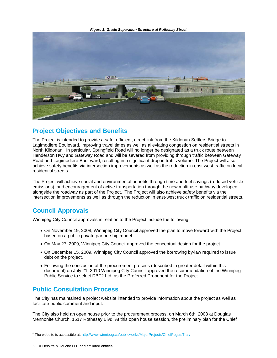*Figure 1: Grade Separation Structure at Rothesay Street*



# **Project Objectives and Benefits**

The Project is intended to provide a safe, efficient, direct link from the Kildonan Settlers Bridge to Lagimodiere Boulevard, improving travel times as well as alleviating congestion on residential streets in North Kildonan. In particular, Springfield Road will no longer be designated as a truck route between Henderson Hwy and Gateway Road and will be severed from providing through traffic between Gateway Road and Lagimodiere Boulevard, resulting in a significant drop in traffic volume. The Project will also achieve safety benefits via intersection improvements as well as the reduction in east west traffic on local residential streets.

The Project will achieve social and environmental benefits through time and fuel savings (reduced vehicle emissions), and encouragement of active transportation through the new multi-use pathway developed alongside the roadway as part of the Project. The Project will also achieve safety benefits via the intersection improvements as well as through the reduction in east-west truck traffic on residential streets.

# **Council Approvals**

Winnipeg City Council approvals in relation to the Project include the following:

- On November 19, 2008, Winnipeg City Council approved the plan to move forward with the Project based on a public private partnership model.
- On May 27, 2009, Winnipeg City Council approved the conceptual design for the project.
- On December 15, 2009, Winnipeg City Council approved the borrowing by-law required to issue debt on the project.
- Following the conclusion of the procurement process (described in greater detail within this document) on July 21, 2010 Winnipeg City Council approved the recommendation of the Winnipeg Public Service to select DBF2 Ltd. as the Preferred Proponent for the Project.

# **Public Consultation Process**

The City has maintained a project website intended to provide information about the project as well as facilitate public comment and input. [4](#page-5-0)

The City also held an open house prior to the procurement process, on March 6th, 2008 at Douglas Mennonite Church, 1517 Rothesay Blvd. At this open house session, the preliminary plan for the Chief

-

<span id="page-5-0"></span><sup>4</sup> The website is accessible at:<http://www.winnipeg.ca/publicworks/MajorProjects/ChiefPeguisTrail/>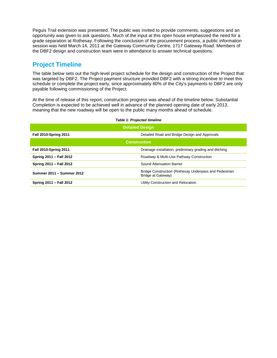Peguis Trail extension was presented. The public was invited to provide comments, suggestions and an opportunity was given to ask questions. Much of the input at this open house emphasized the need for a grade separation at Rothesay. Following the conclusion of the procurement process, a public information session was held March 14, 2011 at the Gateway Community Centre, 1717 Gateway Road. Members of the DBF2 design and construction team were in attendance to answer technical questions.

# **Project Timeline**

The table below sets out the high-level project schedule for the design and construction of the Project that was targeted by DBF2. The Project payment structure provided DBF2 with a strong incentive to meet this schedule or complete the project early, since approximately 80% of the City's payments to DBF2 are only payable following commissioning of the Project.

At the time of release of this report, construction progress was ahead of the timeline below. Substantial Completion is expected to be achieved well in advance of the planned opening date of early 2013, meaning that the new roadway will be open to the public many months ahead of schedule.

#### *Table 1: Projected timeline*

| <b>Detailed Design</b>       |                                                                              |  |
|------------------------------|------------------------------------------------------------------------------|--|
| <b>Fall 2010-Spring 2011</b> | Detailed Road and Bridge Design and Approvals                                |  |
| <b>Construction</b>          |                                                                              |  |
| <b>Fall 2010-Spring 2011</b> | Drainage installation, preliminary grading and ditching                      |  |
| Spring 2011 - Fall 2012      | Roadway & Multi-Use Pathway Construction                                     |  |
| Spring 2011 - Fall 2012      | Sound Attenuation Barrier                                                    |  |
| Summer 2011 - Summer 2012    | Bridge Construction (Rothesay Underpass and Pedestrian<br>Bridge at Gateway) |  |
| Spring 2011 - Fall 2012      | Utility Construction and Relocation                                          |  |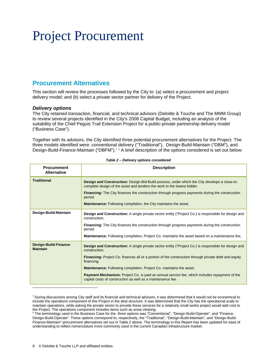# <span id="page-7-0"></span>Project Procurement

# **Procurement Alternatives**

This section will review the processes followed by the City to: (a) select a procurement and project delivery model; and (b) select a private sector partner for delivery of the Project.

## *Delivery options*

The City retained transaction, financial, and technical advisors (Deloitte & Touche and The MMM Group) to review several projects identified in the City's 2008 Capital Budget, including an analysis of the suitability of the Chief Peguis Trail Extension Project for a public-private partnership delivery model ("Business Case").

Together with its advisors, the City identified three potential procurement alternatives for the Project. The three models identified were: conventional delivery ("Traditional"), Design-Build-Maintain ("DBM"), and Design-Build-Finance-Maintain ("DBFM").<sup>[5](#page-7-1)[6](#page-7-2)</sup> A brief description of the options considered is set out below:

| <b>Procurement</b><br><b>Alternative</b> | <b>Description</b>                                                                                                                                                      |
|------------------------------------------|-------------------------------------------------------------------------------------------------------------------------------------------------------------------------|
| <b>Traditional</b>                       | Design and Construction: Design-Bid-Build process, under which the City develops a close-to-<br>complete design of the asset and tenders the work to the lowest bidder. |
|                                          | <b>Financing:</b> The City finances the construction through progress payments during the construction<br>period.                                                       |
|                                          | <b>Maintenance:</b> Following completion, the City maintains the asset.                                                                                                 |
| Design-Build-Maintain                    | <b>Design and Construction:</b> A single private sector entity ("Project Co.) is responsible for design and<br>construction.                                            |
|                                          | <b>Financing:</b> The City finances the construction through progress payments during the construction<br>period.                                                       |
|                                          | <b>Maintenance:</b> Following completion, Project Co. maintains the asset based on a maintenance fee.                                                                   |
| Design-Build-Finance-<br><b>Maintain</b> | <b>Design and Construction:</b> A single private sector entity ("Project Co.) is responsible for design and<br>construction.                                            |
|                                          | <b>Financing:</b> Project Co. finances all or a portion of the construction through private debt and equity<br>financing.                                               |
|                                          | <b>Maintenance:</b> Following completion, Project Co. maintains the asset.                                                                                              |
|                                          | <b>Payment Mechanism:</b> Project Co. is paid an annual service fee, which includes repayment of the<br>capital costs of construction as well as a maintenance fee.     |
|                                          |                                                                                                                                                                         |

#### *Table 2 – Delivery options considered*

<span id="page-7-1"></span><sup>5</sup> During discussions among City staff and its financial and technical advisors, it was determined that it would not be economical to include the operations component of this Project in the deal structure. It was determined that the City has the operational scale to maintain operations, while asking the private sector to provide these services for a relatively small works project would add cost to the Project. The operations component includes items such as snow clearing.

<span id="page-7-2"></span><sup>&</sup>lt;sup>6</sup> The terminology used in the Business Case for the three options was "Conventional", "Design-Build-Operate", and "Finance-Design-Build-Operate". These options correspond to, respectively, the "Traditional", "Design-Build-Maintain", and "Design-Build-Finance-Maintain" procurement alternatives set out in Table 2 above. The terminology in this Report has been updated for ease of understanding to reflect nomenclature more commonly used in the current Canadian infrastructure market.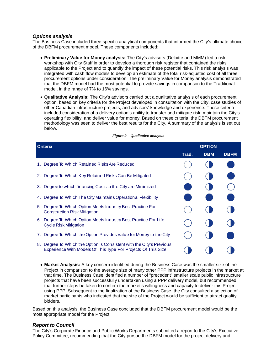## *Options analysis*

The Business Case included three specific analytical components that informed the City's ultimate choice of the DBFM procurement model. These components included:

- **Preliminary Value for Money analysis:** The City's advisors (Deloitte and MMM) led a risk workshop with City Staff in order to develop a thorough risk register that contained the risks applicable to the Project and to quantify the impact of these potential risks. This risk analysis was integrated with cash flow models to develop an estimate of the total risk-adjusted cost of all three procurement options under consideration. The preliminary Value for Money analysis demonstrated that the DBFM model had the most potential to provide savings in comparison to the Traditional model, in the range of 7% to 16% savings.
- **Qualitative Analysis:** The City's advisors carried out a qualitative analysis of each procurement option, based on key criteria for the Project developed in consultation with the City, case studies of other Canadian infrastructure projects, and advisors' knowledge and experience. These criteria included consideration of a delivery option's ability to transfer and mitigate risk, maintain the City's operating flexibility, and deliver value for money. Based on these criteria, the DBFM procurement methodology was seen to deliver the best results for the City. A summary of the analysis is set out below.

| <b>Criteria</b>                                                                                                                          |       | <b>OPTION</b> |             |  |
|------------------------------------------------------------------------------------------------------------------------------------------|-------|---------------|-------------|--|
|                                                                                                                                          | Trad. | <b>DBM</b>    | <b>DBFM</b> |  |
| 1. Degree To Which Retained Risks Are Reduced                                                                                            |       |               |             |  |
| 2. Degree To Which Key Retained Risks Can Be Mitigated                                                                                   |       |               |             |  |
| 3. Degree to which financing Costs to the City are Minimized                                                                             |       |               |             |  |
| 4. Degree To Which The City Maintains Operational Flexibility                                                                            |       |               |             |  |
| Degree To Which Option Meets Industry Best Practice For<br>5.<br><b>Construction Risk Mitigation</b>                                     |       |               |             |  |
| Degree To Which Option Meets Industry Best Practice For Life-<br>6.<br><b>Cycle Risk Mitigation</b>                                      |       |               |             |  |
| Degree To Which the Option Provides Value for Money to the City<br>7.                                                                    |       |               |             |  |
| Degree To Which the Option is Consistent with the City's Previous<br>8.<br>Experience With Models Of This Type For Projects Of This Size |       |               |             |  |

#### *Figure 2 – Qualitative analysis*

• **Market Analysis:** A key concern identified during the Business Case was the smaller size of the Project in comparison to the average size of many other PPP infrastructure projects in the market at that time. The Business Case identified a number of "precedent" smaller scale public infrastructure projects that have been successfully undertaken using a PPP delivery model, but recommended that further steps be taken to confirm the market's willingness and capacity to deliver this Project using PPP. Subsequent to the finalization of the Business Case, the City consulted a selection of market participants who indicated that the size of the Project would be sufficient to attract quality bidders.

Based on this analysis, the Business Case concluded that the DBFM procurement model would be the most appropriate model for the Project.

### *Report to Council*

The City's Corporate Finance and Public Works Departments submitted a report to the City's Executive Policy Committee, recommending that the City pursue the DBFM model for the project delivery and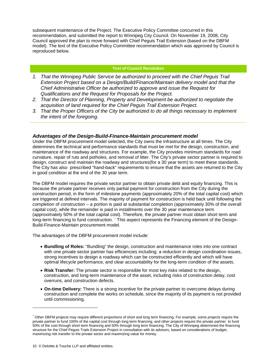subsequent maintenance of the Project. The Executive Policy Committee concurred in this recommendation, and submitted the report to Winnipeg City Council. On November 19, 2008, City Council approved the plan to move forward with Chief Peguis Trail Extension (based on the DBFM model). The text of the Executive Policy Committee recommendation which was approved by Council is reproduced below.

### **Text of Council Resolution**

- *1. That the Winnipeg Public Service be authorized to proceed with the Chief Peguis Trail Extension Project based on a Design/Build/Finance/Maintain delivery model and that the Chief Administrative Officer be authorized to approve and issue the Request for Qualifications and the Request for Proposals for the Project.*
- *2. That the Director of Planning, Property and Development be authorized to negotiate the acquisition of land required for the Chief Peguis Trail Extension Project.*
- *3. That the Proper Officers of the City be authorized to do all things necessary to implement the intent of the foregoing.*

## *Advantages of the Design-Build-Finance-Maintain procurement model*

Under the DBFM procurement model selected, the City owns the infrastructure at all times. The City determines the technical and performance standards that must be met for the design, construction, and maintenance of the roadway and structures. For example, the City provides minimum standards for road curvature, repair of ruts and potholes, and removal of litter. The City's private sector partner is required to design, construct and maintain the roadway and structures(for a 30 year term) to meet these standards. The City has also prescribed "hand-back" requirements to ensure that the assets are returned to the City in good condition at the end of the 30 year term.

The DBFM model requires the private sector partner to obtain private debt and equity financing. This is because the private partner receives only partial payment for construction from the City during the construction period, in the form of milestone payments (approximately 20% of the total capital cost) which are triggered at defined intervals. The majority of payment for construction is held back until following the completion of construction – a portion is paid at substantial completion (approximately 30% of the overall capital cost), while the remainder is paid in installments over the 30 year maintenance term (approximately 50% of the total capital cost). Therefore, the private partner must obtain short term and long-term financing to fund construction. [7](#page-9-0) This aspect represents the Financing element of the Design-Build-Finance-Maintain procurement model.

The advantages of the DBFM procurement model include:

- **Bundling of Roles:** "Bundling" the design, construction and maintenance roles into one contract with one private sector partner has efficiencies including: a reduction in design coordination issues, strong incentives to design a roadway which can be constructed efficiently and which will have optimal lifecycle performance, and clear accountability for the long-term condition of the assets.
- **Risk Transfer:** The private sector is responsible for most key risks related to the design, construction, and long-term maintenance of the asset, including risks of construction delay, cost overruns, and construction defects.
- **On-time Delivery:** There is a strong incentive for the private partner to overcome delays during construction and complete the works on schedule, since the majority of its payment is not provided until commissioning.

-

<span id="page-9-0"></span><sup>7</sup> Other DBFM projects may require different proportions of short and long term financing. For example, some projects require the private partner to fund 100% of the capital cost through long term financing, and other projects require the private partner to fund 50% of the cost through short term financing and 50% through long term financing. The City of Winnipeg determined the financing structure for the Chief Peguis Trails Extension Project in consultation with its advisors, based on considerations of budget, maximizing risk transfer to the private sector and maximizing value for money.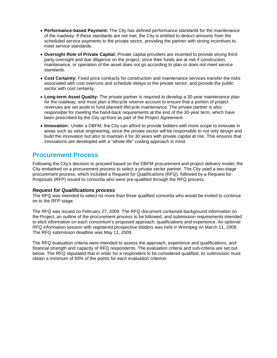- **Performance-based Payment:** The City has defined performance standards for the maintenance of the roadway. If these standards are not met, the City is entitled to deduct amounts from the scheduled service payments to the private sector, providing the partner with strong incentives to meet service standards.
- **Oversight Role of Private Capital:** Private capital providers are incented to provide strong thirdparty oversight and due diligence on the project, since their funds are at risk if construction, maintenance, or operation of the asset does not go according to plan or does not meet service standards.
- **Cost Certainty:** Fixed price contracts for construction and maintenance services transfer the risks associated with cost overruns and schedule delays to the private sector, and provide the public sector with cost certainty.
- **Long-term Asset Quality:** The private partner is required to develop a 30-year maintenance plan for the roadway, and must plan a lifecycle reserve account to ensure that a portion of project revenues are set aside to fund planned lifecycle maintenance. The private partner is also responsible for meeting the hand-back requirements at the end of the 30-year term, which have been prescribed by the City up-front as part of the Project Agreement.
- **Innovation:** Under a DBFM, the City can afford to provide bidders with more scope to innovate in areas such as value engineering, since the private sector will be responsible to not only design and build the innovation but also to maintain it for 30 years with private capital at risk. This ensures that innovations are developed with a "whole-life" costing approach in mind.

# **Procurement Process**

Following the City's decision to proceed based on the DBFM procurement and project delivery model, the City embarked on a procurement process to select a private sector partner. The City used a two-stage procurement process, which included a Request for Qualifications (RFQ), followed by a Request for Proposals (RFP) issued to consortia who were pre-qualified through the RFQ process.

# *Request for Qualifications process*

The RFQ was intended to select no more than three qualified consortia who would be invited to continue on to the RFP stage.

The RFQ was issued on February 27, 2009. The RFQ document contained background information on the Project, an outline of the procurement process to be followed, and submission requirements intended to elicit information on each consortium's proposed approach, qualifications and experience. An optional RFQ information session with registered prospective bidders was held in Winnipeg on March 11, 2009. The RFQ submission deadline was May 11, 2009.

The RFQ evaluation criteria were intended to assess the approach, experience and qualifications, and financial strength and capacity of RFQ respondents. The evaluation criteria and sub-criteria are set out below. The RFQ stipulated that in order for a respondent to be considered qualified, its submission must obtain a minimum of 60% of the points for each evaluation criterion.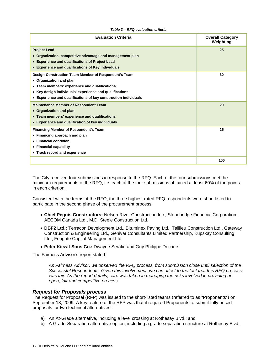| Table 3 - RFQ evaluation criteria |  |
|-----------------------------------|--|
|-----------------------------------|--|

| <b>Evaluation Criteria</b>                                                                                                                                                                                                                                     | <b>Overall Category</b><br>Weighting |
|----------------------------------------------------------------------------------------------------------------------------------------------------------------------------------------------------------------------------------------------------------------|--------------------------------------|
| <b>Project Lead</b><br>• Organization, competitive advantage and management plan<br>• Experience and qualifications of Project Lead<br>• Experience and qualifications of Key Individuals                                                                      | 25                                   |
| Design-Construction Team Member of Respondent's Team<br>• Organization and plan<br>• Team members' experience and qualifications<br>• Key design individuals' experience and qualifications<br>• Experience and qualifications of key construction individuals | 30                                   |
| <b>Maintenance Member of Respondent Team</b><br>• Organization and plan<br>• Team members' experience and qualifications<br>• Experience and qualification of key individuals                                                                                  | 20                                   |
| <b>Financing Member of Respondent's Team</b><br>• Financing approach and plan<br>• Financial condition<br>• Financial capability<br>• Track record and experience                                                                                              | 25                                   |
|                                                                                                                                                                                                                                                                | 100                                  |

The City received four submissions in response to the RFQ. Each of the four submissions met the minimum requirements of the RFQ, i.e. each of the four submissions obtained at least 60% of the points in each criterion.

Consistent with the terms of the RFQ, the three highest rated RFQ respondents were short-listed to participate in the second phase of the procurement process:

- **Chief Peguis Constructors:** Nelson River Construction Inc., Stonebridge Financial Corporation, AECOM Canada Ltd., M.D. Steele Construction Ltd.
- **DBF2 Ltd.:** Terracon Development Ltd., Bituminex Paving Ltd., Taillieu Construction Ltd., Gateway Construction & Engineering Ltd., Genivar Consultants Limited Partnership, Kupskay Consulting Ltd., Fengate Capital Management Ltd.
- **Peter Kiewit Sons Co.:** Dwayne Serafin and Guy Philippe Decarie

The Fairness Advisor's report stated:

*As Fairness Advisor, we observed the RFQ process, from submission close until selection of the Successful Respondents. Given this involvement, we can attest to the fact that this RFQ process was fair. As the report details, care was taken in managing the risks involved in providing an open, fair and competitive process.*

### *Request for Proposals process*

The Request for Proposal (RFP) was issued to the short-listed teams (referred to as "Proponents") on September 18, 2009. A key feature of the RFP was that it required Proponents to submit fully priced proposals for two technical alternatives:

- a) An At-Grade alternative, including a level crossing at Rothesay Blvd.; and
- b) A Grade-Separation alternative option, including a grade separation structure at Rothesay Blvd.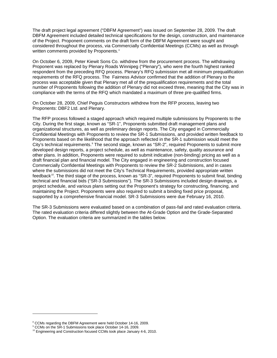The draft project legal agreement ("DBFM Agreement") was issued on September 28, 2009. The draft DBFM Agreement included detailed technical specifications for the design, construction, and maintenance of the Project. Proponent comments on the draft form of the DBFM Agreement were sought and considered throughout the process, via Commercially Confidential Meetings (CCMs) as well as through written comments provided by Proponents.<sup>[8](#page-12-0)</sup>

On October 6, 2009, Peter Kiewit Sons Co. withdrew from the procurement process. The withdrawing Proponent was replaced by Plenary Roads Winnipeg ("Plenary"), who were the fourth highest ranked respondent from the preceding RFQ process. Plenary's RFQ submission met all minimum prequalification requirements of the RFQ process. The Fairness Advisor confirmed that the addition of Plenary to the process was acceptable given that Plenary met all of the prequalification requirements and the total number of Proponents following the addition of Plenary did not exceed three, meaning that the City was in compliance with the terms of the RFQ which mandated a maximum of three pre-qualified firms.

On October 28, 2009, Chief Peguis Constructors withdrew from the RFP process, leaving two Proponents: DBF2 Ltd. and Plenary.

The RFP process followed a staged approach which required multiple submissions by Proponents to the City. During the first stage, known as "SR-1", Proponents submitted draft management plans and organizational structures, as well as preliminary design reports. The City engaged in Commercially Confidential Meetings with Proponents to review the SR-1 Submissions, and provided written feedback to Proponents based on the likelihood that the approach reflected in the SR-1 submission would meet the City's technical requirements.<sup>[9](#page-12-1)</sup> The second stage, known as "SR-2", required Proponents to submit more developed design reports, a project schedule, as well as maintenance, safety, quality assurance and other plans. In addition, Proponents were required to submit indicative (non-binding) pricing as well as a draft financial plan and financial model. The City engaged in engineering and construction focused Commercially Confidential Meetings with Proponents to review the SR-2 Submissions, and in cases where the submissions did not meet the City's Technical Requirements, provided appropriate written feedback[10.](#page-12-2) The third stage of the process, known as "SR-3", required Proponents to submit final, binding technical and financial bids ("SR-3 Submissions"). The SR-3 Submissions included design drawings, a project schedule, and various plans setting out the Proponent's strategy for constructing, financing, and maintaining the Project. Proponents were also required to submit a binding fixed price proposal, supported by a comprehensive financial model. SR-3 Submissions were due February 16, 2010.

The SR-3 Submissions were evaluated based on a combination of pass-fail and rated evaluation criteria. The rated evaluation criteria differed slightly between the At-Grade Option and the Grade-Separated Option. The evaluation criteria are summarized in the tables below.

-

<span id="page-12-2"></span>

<span id="page-12-1"></span><span id="page-12-0"></span><sup>&</sup>lt;sup>8</sup> CCMs regarding the DBFM Agreement were held October 14-16, 2009.<br><sup>9</sup> CCMs on the SR-1 Submissions took place October 14-16, 2009.<br><sup>10</sup> Engineering and Construction focused CCMs took place January 4-6, 2010.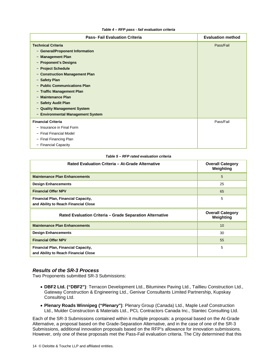#### *Table 4 – RFP pass - fail evaluation criteria*

| <b>Pass-Fail Evaluation Criteria</b> | <b>Evaluation method</b> |
|--------------------------------------|--------------------------|
| <b>Technical Criteria</b>            | Pass/Fail                |
| - General/Proponent Information      |                          |
| - Management Plan                    |                          |
| - Proponent's Designs                |                          |
| - Project Schedule                   |                          |
| - Construction Management Plan       |                          |
| - Safety Plan                        |                          |
| - Public Communications Plan         |                          |
| - Traffic Management Plan            |                          |
| - Maintenance Plan                   |                          |
| - Safety Audit Plan                  |                          |
| - Quality Management System          |                          |
| - Environmental Management System    |                          |
| <b>Financial Criteria</b>            | Pass/Fail                |
| - Insurance in Final Form            |                          |
| - Final Financial Model              |                          |
| - Final Financing Plan               |                          |
| - Financial Capacity                 |                          |

#### *Table 5 – RFP rated evaluation criteria*

| Rated Evaluation Criteria - At-Grade Alternative                                   | <b>Overall Category</b><br>Weighting |
|------------------------------------------------------------------------------------|--------------------------------------|
| <b>Maintenance Plan Enhancements</b>                                               | 5                                    |
| <b>Design Enhancements</b>                                                         | 25                                   |
| <b>Financial Offer NPV</b>                                                         | 65                                   |
| <b>Financial Plan, Financial Capacity,</b><br>and Ability to Reach Financial Close | 5                                    |
|                                                                                    |                                      |
| Rated Evaluation Criteria - Grade Separation Alternative                           | <b>Overall Category</b><br>Weighting |
| <b>Maintenance Plan Enhancements</b>                                               | 10                                   |
| <b>Design Enhancements</b>                                                         | 30                                   |
| <b>Financial Offer NPV</b>                                                         | 55                                   |

#### *Results of the SR-3 Process*

Two Proponents submitted SR-3 Submissions:

- **DBF2 Ltd. ("DBF2")**: Terracon Development Ltd., Bituminex Paving Ltd., Taillieu Construction Ltd., Gateway Construction & Engineering Ltd., Genivar Consultants Limited Partnership, Kupskay Consulting Ltd.
- **Plenary Roads Winnipeg ("Plenary")**: Plenary Group (Canada) Ltd., Maple Leaf Construction Ltd., Mulder Construction & Materials Ltd., PCL Contractors Canada Inc., Stantec Consulting Ltd.

Each of the SR-3 Submissions contained within it multiple proposals: a proposal based on the At-Grade Alternative, a proposal based on the Grade-Separation Alternative, and in the case of one of the SR-3 Submissions, additional innovation proposals based on the RFP's allowance for innovation submissions. However, only one of these proposals met the Pass-Fail evaluation criteria. The City determined that this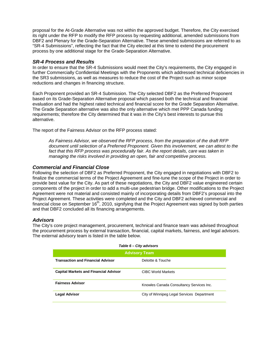proposal for the At-Grade Alternative was not within the approved budget. Therefore, the City exercised its right under the RFP to modify the RFP process by requesting additional, amended submissions from DBF2 and Plenary for the Grade-Separation Alternative. These amended submissions are referred to as "SR-4 Submissions", reflecting the fact that the City elected at this time to extend the procurement process by one additional stage for the Grade-Separation Alternative.

# *SR-4 Process and Results*

In order to ensure that the SR-4 Submissions would meet the City's requirements, the City engaged in further Commercially Confidential Meetings with the Proponents which addressed technical deficiencies in the SR3 submissions, as well as measures to reduce the cost of the Project such as minor scope reductions and changes in financing structure.

Each Proponent provided an SR-4 Submission. The City selected DBF2 as the Preferred Proponent based on its Grade-Separation Alternative proposal which passed both the technical and financial evaluation and had the highest rated technical and financial score for the Grade Separation Alternative. The Grade Separation alternative was also the only alternative which met PPP Canada funding requirements; therefore the City determined that it was in the City's best interests to pursue this alternative.

The report of the Fairness Advisor on the RFP process stated:

*As Fairness Advisor, we observed the RFP process, from the preparation of the draft RFP document until selection of a Preferred Proponent. Given this involvement, we can attest to the*  fact that this RFP process was procedurally fair. As the report details, care was taken in *managing the risks involved in providing an open, fair and competitive process.* 

# *Commercial and Financial Close*

Following the selection of DBF2 as Preferred Proponent, the City engaged in negotiations with DBF2 to finalize the commercial terms of the Project Agreement and fine-tune the scope of the Project in order to provide best value for the City. As part of these negotiations, the City and DBF2 value engineered certain components of the project in order to add a multi-use pedestrian bridge. Other modifications to the Project Agreement were not material and consisted mainly of incorporating details from DBF2's proposal into the Project Agreement. These activities were completed and the City and DBF2 achieved commercial and financial close on September  $16<sup>th</sup>$ , 2010, signifying that the Project Agreement was signed by both parties and that DBF2 concluded all its financing arrangements.

# *Advisors*

The City's core project management, procurement, technical and finance team was advised throughout the procurement process by external transaction, financial, capital markets, fairness, and legal advisors. The external advisory team is listed in the table below.

| Table 6 - City advisors                      |                                            |  |
|----------------------------------------------|--------------------------------------------|--|
| <b>Advisory Team</b>                         |                                            |  |
| <b>Transaction and Financial Advisor</b>     | Deloitte & Touche                          |  |
| <b>Capital Markets and Financial Advisor</b> | CIBC World Markets                         |  |
| <b>Fairness Advisor</b>                      | Knowles Canada Consultancy Services Inc.   |  |
| <b>Legal Advisor</b>                         | City of Winnipeg Legal Services Department |  |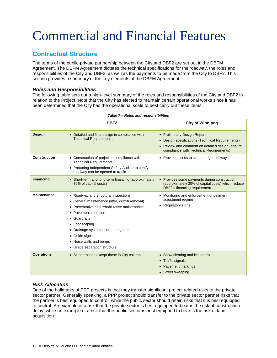# <span id="page-15-0"></span>Commercial and Financial Features

# **Contractual Structure**

The terms of the public-private partnership between the City and DBF2 are set out in the DBFM Agreement. The DBFM Agreement dictates the technical specifications for the roadway, the roles and responsibilities of the City and DBF2, as well as the payments to be made from the City to DBF2. This section provides a summary of the key elements of the DBFM Agreement.

# *Roles and Responsibilities*

The following table sets out a high-level summary of the roles and responsibilities of the City and DBF2 in relation to the Project. Note that the City has elected to maintain certain operational works since it has been determined that the City has the operational scale to best carry out these items.

|                    | DBF <sub>2</sub>                                                                                                                                                                                                                                                                                                                 | <b>City of Winnipeg</b>                                                                                                                                                     |
|--------------------|----------------------------------------------------------------------------------------------------------------------------------------------------------------------------------------------------------------------------------------------------------------------------------------------------------------------------------|-----------------------------------------------------------------------------------------------------------------------------------------------------------------------------|
| <b>Design</b>      | • Detailed and final design in compliance with<br><b>Technical Requirements</b>                                                                                                                                                                                                                                                  | • Preliminary Design Report<br>Design specifications (Technical Requirements)<br>• Review and comment on detailed design (ensure<br>compliance with Technical Requirements) |
| Construction       | • Construction of project in compliance with<br><b>Technical Requirements</b><br>• Procuring Independent Safety Auditor to certify<br>roadway can be opened to traffic                                                                                                                                                           | • Provide access to site and rights of way                                                                                                                                  |
| <b>Financing</b>   | • Short-term and long-term financing (approximately<br>80% of capital costs)                                                                                                                                                                                                                                                     | • Provides some payments during construction<br>(approximately 20% of capital costs) which reduce<br><b>DBF2's financing requirement</b>                                    |
| <b>Maintenance</b> | • Roadway and structural inspections<br>• General maintenance (litter, graffiti removal)<br>Preventative and rehabilitative maintenance<br>$\bullet$<br>• Pavement condition<br>• Guardrails<br>• Landscaping<br>• Drainage systems, curb and gutter<br>• Guide signs<br>• Noise walls and berms<br>• Grade separation structure | • Monitoring and enforcement of payment<br>adjustment regime<br>• Regulatory signs                                                                                          |
| <b>Operations</b>  | • All operations except those in City column.                                                                                                                                                                                                                                                                                    | • Snow clearing and ice control<br>• Traffic signals<br><b>Pavement markings</b><br>• Street sweeping                                                                       |

#### *Table 7 – Roles and responsibilities*

# *Risk Allocation*

One of the hallmarks of PPP projects is that they transfer significant project related risks to the private sector partner. Generally speaking, a PPP project should transfer to the private sector partner risks that the partner is best equipped to control, while the public sector should retain risks that it is best equipped to control. An example of a risk that the private sector is best equipped to bear is the risk of construction delay, while an example of a risk that the public sector is best equipped to bear is the risk of land acquisition.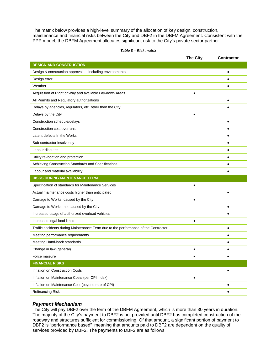The matrix below provides a high-level summary of the allocation of key design, construction, maintenance and financial risks between the City and DBF2 in the DBFM Agreement. Consistent with the PPP model, the DBFM Agreement allocates significant risk to the City's private sector partner.

#### *Table 8 – Risk matrix*

|                                                                                    | <b>The City</b> | <b>Contractor</b> |
|------------------------------------------------------------------------------------|-----------------|-------------------|
| <b>DESIGN AND CONSTRUCTION</b>                                                     |                 |                   |
| Design & construction approvals - including environmental                          |                 | ٠                 |
| Design error                                                                       |                 |                   |
| Weather                                                                            |                 |                   |
| Acquisition of Right of Way and available Lay-down Areas                           |                 |                   |
| All Permits and Regulatory authorizations                                          |                 | ٠                 |
| Delays by agencies, regulators, etc. other than the City                           |                 |                   |
| Delays by the City                                                                 |                 |                   |
| Construction schedule/delays                                                       |                 | $\bullet$         |
| Construction cost overruns                                                         |                 |                   |
| Latent defects In the Works                                                        |                 |                   |
| Sub-contractor insolvency                                                          |                 | ٠                 |
| Labour disputes                                                                    |                 |                   |
| Utility re-location and protection                                                 |                 |                   |
| Achieving Construction Standards and Specifications                                |                 |                   |
| Labour and material availability                                                   |                 |                   |
| <b>RISKS DURING MAINTENANCE TERM</b>                                               |                 |                   |
| Specification of standards for Maintenance Services                                |                 |                   |
| Actual maintenance costs higher than anticipated                                   |                 | $\bullet$         |
| Damage to Works, caused by the City                                                |                 |                   |
| Damage to Works, not caused by the City                                            |                 |                   |
| Increased usage of authorized overload vehicles                                    |                 | $\bullet$         |
| Increased legal load limits                                                        |                 |                   |
| Traffic accidents during Maintenance Term due to the performance of the Contractor |                 | ٠                 |
| Meeting performance requirements                                                   |                 |                   |
| Meeting Hand-back standards                                                        |                 |                   |
| Change in law (general)                                                            |                 |                   |
| Force majeure                                                                      |                 |                   |
| <b>FINANCIAL RISKS</b>                                                             |                 |                   |
| Inflation on Construction Costs                                                    |                 | $\bullet$         |
| Inflation on Maintenance Costs (per CPI index)                                     | $\bullet$       |                   |
| Inflation on Maintenance Cost (beyond rate of CPI)                                 |                 | $\bullet$         |
| Refinancing Risk                                                                   |                 |                   |

# *Payment Mechanism*

The City will pay DBF2 over the term of the DBFM Agreement, which is more than 30 years in duration. The majority of the City's payment to DBF2 is not provided until DBF2 has completed construction of the roadway and structures sufficient for commissioning. Of that amount, a significant portion of payment to DBF2 is "performance based" meaning that amounts paid to DBF2 are dependent on the quality of services provided by DBF2. The payments to DBF2 are as follows: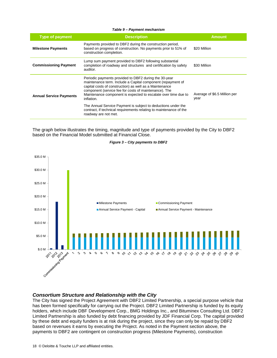#### *Table 9 – Payment mechanism*

| <b>Type of payment</b>         | <b>Description</b>                                                                                                                                                                                                                                                                                                                                                                                                                                                                      | <b>Amount</b>                        |
|--------------------------------|-----------------------------------------------------------------------------------------------------------------------------------------------------------------------------------------------------------------------------------------------------------------------------------------------------------------------------------------------------------------------------------------------------------------------------------------------------------------------------------------|--------------------------------------|
| <b>Milestone Payments</b>      | Payments provided to DBF2 during the construction period,<br>based on progress of construction. No payments prior to 51% of<br>construction completion.                                                                                                                                                                                                                                                                                                                                 | \$20 Million                         |
| <b>Commissioning Payment</b>   | Lump sum payment provided to DBF2 following substantial<br>completion of roadway and structures and certification by safety<br>auditor.                                                                                                                                                                                                                                                                                                                                                 | \$30 Million                         |
| <b>Annual Service Payments</b> | Periodic payments provided to DBF2 during the 30-year<br>maintenance term. Include a Capital component (repayment of<br>capital costs of construction) as well as a Maintenance<br>component (service fee for costs of maintenance). The<br>Maintenance component is expected to escalate over time due to<br>inflation.<br>The Annual Service Payment is subject to deductions under the<br>contract, if technical requirements relating to maintenance of the<br>roadway are not met. | Average of \$6.5 Million per<br>year |

The graph below illustrates the timing, magnitude and type of payments provided by the City to DBF2 based on the Financial Model submitted at Financial Close.



#### *Figure 3 – City payments to DBF2*

## *Consortium Structure and Relationship with the City*

The City has signed the Project Agreement with DBF2 Limited Partnership, a special purpose vehicle that has been formed specifically for carrying out the Project. DBF2 Limited Partnership is funded by its equity holders, which include DBF Development Corp., BMG Holdings Inc., and Bituminex Consulting Ltd. DBF2 Limited Partnership is also funded by debt financing provided by JDF Financial Corp. The capital provided by these debt and equity funders is at risk during the project, since they can only be repaid by DBF2 based on revenues it earns by executing the Project. As noted in the Payment section above, the payments to DBF2 are contingent on construction progress (Milestone Payments), construction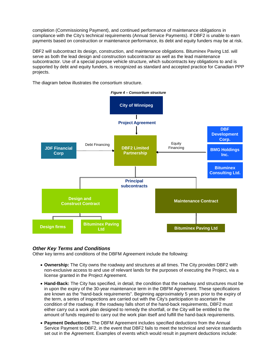completion (Commissioning Payment), and continued performance of maintenance obligations in compliance with the City's technical requirements (Annual Service Payments). If DBF2 is unable to earn payments based on construction or maintenance performance, its debt and equity funders may be at risk.

DBF2 will subcontract its design, construction, and maintenance obligations. Bituminex Paving Ltd. will serve as both the lead design and construction subcontractor as well as the lead maintenance subcontractor. Use of a special purpose vehicle structure, which subcontracts key obligations to and is supported by debt and equity funders, is recognized as standard and accepted practice for Canadian PPP projects.

The diagram below illustrates the consortium structure.



# *Other Key Terms and Conditions*

Other key terms and conditions of the DBFM Agreement include the following:

- **Ownership:** The City owns the roadway and structures at all times. The City provides DBF2 with non-exclusive access to and use of relevant lands for the purposes of executing the Project, via a license granted in the Project Agreement.
- **Hand-Back:** The City has specified, in detail, the condition that the roadway and structures must be in upon the expiry of the 30-year maintenance term in the DBFM Agreement. These specifications are known as the "hand-back requirements". Beginning approximately 5 years prior to the expiry of the term, a series of inspections are carried out with the City's participation to ascertain the condition of the roadway. If the roadway falls short of the hand-back requirements, DBF2 must either carry out a work plan designed to remedy the shortfall, or the City will be entitled to the amount of funds required to carry out the work plan itself and fulfill the hand-back requirements.
- **Payment Deductions:** The DBFM Agreement includes specified deductions from the Annual Service Payment to DBF2, in the event that DBF2 fails to meet the technical and service standards set out in the Agreement. Examples of events which would result in payment deductions include: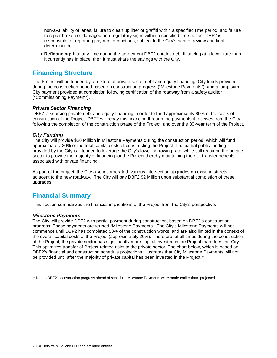non-availability of lanes, failure to clean up litter or graffiti within a specified time period, and failure to repair broken or damaged non-regulatory signs within a specified time period. DBF2 is responsible for reporting payment deductions, subject to the City's right of review and final determination.

• **Refinancing:** If at any time during the agreement DBF2 obtains debt financing at a lower rate than it currently has in place, then it must share the savings with the City.

# **Financing Structure**

The Project will be funded by a mixture of private sector debt and equity financing, City funds provided during the construction period based on construction progress ("Milestone Payments"), and a lump sum City payment provided at completion following certification of the roadway from a safety auditor ("Commissioning Payment").

# *Private Sector Financing*

DBF2 is sourcing private debt and equity financing in order to fund approximately 80% of the costs of construction of the Project. DBF2 will repay this financing through the payments it receives from the City following the completion of the construction phase of the Project, and over the 30-year term of the Project.

# *City Funding*

The City will provide \$20 Million in Milestone Payments during the construction period, which will fund approximately 20% of the total capital costs of constructing the Project. The partial public funding provided by the City is intended to leverage the City's lower borrowing rate, while still requiring the private sector to provide the majority of financing for the Project thereby maintaining the risk transfer benefits associated with private financing.

As part of the project, the City also incorporated various intersection upgrades on existing streets adjacent to the new roadway. The City will pay DBF2 \$2 Million upon substantial completion of these upgrades.

# **Financial Summary**

This section summarizes the financial implications of the Project from the City's perspective.

# *Milestone Payments*

-

The City will provide DBF2 with partial payment during construction, based on DBF2's construction progress. These payments are termed "Milestone Payments". The City's Milestone Payments will not commence until DBF2 has completed 50% of the construction works, and are also limited in the context of the overall capital costs of the Project (approximately 20%). Therefore, at all times during the construction of the Project, the private sector has significantly more capital invested in the Project than does the City. This optimizes transfer of Project-related risks to the private sector. The chart below, which is based on DBF2's financial and construction schedule projections, illustrates that City Milestone Payments will not be provided until after the majority of private capital has been invested in the Project.<sup>[11](#page-19-0)</sup>

<span id="page-19-0"></span><sup>&</sup>lt;sup>11</sup> Due to DBF2's construction progress ahead of schedule, Milestone Payments were made earlier than projected.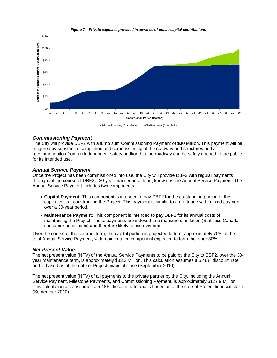

*Figure 7 – Private capital is provided in advance of public capital contributions*

## *Commissioning Payment*

The City will provide DBF2 with a lump sum Commissioning Payment of \$30 Million. This payment will be triggered by substantial completion and commissioning of the roadway and structures and a recommendation from an independent safety auditor that the roadway can be safely opened to the public for its intended use.

## *Annual Service Payment*

Once the Project has been commissioned into use, the City will provide DBF2 with regular payments throughout the course of DBF2's 30-year maintenance term, known as the Annual Service Payment. The Annual Service Payment includes two components:

- **Capital Payment:** This component is intended to pay DBF2 for the outstanding portion of the capital cost of constructing the Project. This payment is similar to a mortgage with a fixed payment over a 30-year period.
- **Maintenance Payment:** This component is intended to pay DBF2 for its annual costs of maintaining the Project. These payments are indexed to a measure of inflation (Statistics Canada consumer price index) and therefore likely to rise over time.

Over the course of the contract term, the capital portion is projected to form approximately 70% of the total Annual Service Payment, with maintenance component expected to form the other 30%.

### *Net Present Value*

The net present value (NPV) of the Annual Service Payments to be paid by the City to DBF2, over the 30 year maintenance term, is approximately \$83.3 Million. This calculation assumes a 5.48% discount rate and is based as of the date of Project financial close (September 2010).

The net present value (NPV) of all payments to the private partner by the City, including the Annual Service Payment, Milestone Payments, and Commissioning Payment, is approximately \$127.9 Million. This calculation also assumes a 5.48% discount rate and is based as of the date of Project financial close (September 2010).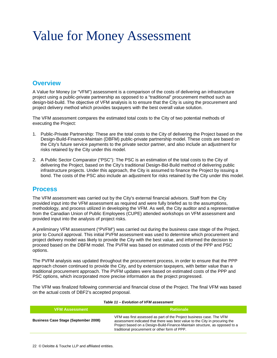# <span id="page-21-0"></span>Value for Money Assessment

# **Overview**

A Value for Money (or "VFM") assessment is a comparison of the costs of delivering an infrastructure project using a public-private partnership as opposed to a "traditional" procurement method such as design-bid-build. The objective of VFM analysis is to ensure that the City is using the procurement and project delivery method which provides taxpayers with the best overall value solution.

The VFM assessment compares the estimated total costs to the City of two potential methods of executing the Project:

- 1. Public-Private Partnership: These are the total costs to the City of delivering the Project based on the Design-Build-Finance-Maintain (DBFM) public-private partnership model. These costs are based on the City's future service payments to the private sector partner, and also include an adjustment for risks retained by the City under this model.
- 2. A Public Sector Comparator ("PSC"): The PSC is an estimation of the total costs to the City of delivering the Project, based on the City's traditional Design-Bid-Build method of delivering public infrastructure projects. Under this approach, the City is assumed to finance the Project by issuing a bond. The costs of the PSC also include an adjustment for risks retained by the City under this model.

# **Process**

The VFM assessment was carried out by the City's external financial advisors. Staff from the City provided input into the VFM assessment as required and were fully briefed as to the assumptions, methodology, and process utilized in developing the VFM. As well, the City auditor and a representative from the Canadian Union of Public Employees (CUPE) attended workshops on VFM assessment and provided input into the analysis of project risks.

A preliminary VFM assessment ("PVFM") was carried out during the business case stage of the Project, prior to Council approval. This initial PVFM assessment was used to determine which procurement and project delivery model was likely to provide the City with the best value, and informed the decision to proceed based on the DBFM model. The PVFM was based on estimated costs of the PPP and PSC options.

The PVFM analysis was updated throughout the procurement process, in order to ensure that the PPP approach chosen continued to provide the City, and by extension taxpayers, with better value than a traditional procurement approach. The PVFM updates were based on estimated costs of the PPP and PSC options, which incorporated more precise information as the project progressed.

The VFM was finalized following commercial and financial close of the Project. The final VFM was based on the actual costs of DBF2's accepted proposal.

| <b>VFM Assessment</b>                       | <b>Rationale</b>                                                                                                                                                                                                                                                                    |  |
|---------------------------------------------|-------------------------------------------------------------------------------------------------------------------------------------------------------------------------------------------------------------------------------------------------------------------------------------|--|
| <b>Business Case Stage (September 2008)</b> | VFM was first assessed as part of the Project business case. The VFM<br>assessment indicated that there was best value to the City in procuring the<br>Project based on a Design-Build-Finance-Maintain structure, as opposed to a<br>traditional procurement or other form of PPP. |  |

#### *Table 11 – Evolution of VFM assessment*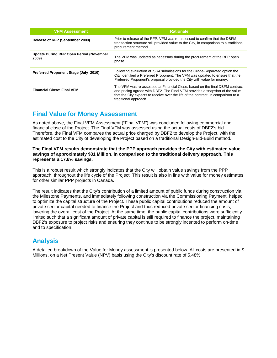| <b>VFM Assessment</b>                                   | <b>Rationale</b>                                                                                                                                                                                                                                                            |
|---------------------------------------------------------|-----------------------------------------------------------------------------------------------------------------------------------------------------------------------------------------------------------------------------------------------------------------------------|
| Release of RFP (September 2009)                         | Prior to release of the RFP, VFM was re-assessed to confirm that the DBFM<br>transaction structure still provided value to the City, in comparison to a traditional<br>procurement method.                                                                                  |
| <b>Update During RFP Open Period (November</b><br>2009) | The VFM was updated as necessary during the procurement of the RFP open<br>phase.                                                                                                                                                                                           |
| Preferred Proponent Stage (July 2010)                   | Following evaluation of SR4 submissions for the Grade-Separated option the<br>City identified a Preferred Proponent. The VFM was updated to ensure that the<br>Preferred Proponent's proposal provided the City with value for money.                                       |
| <b>Financial Close: Final VFM</b>                       | The VFM was re-assessed at Financial Close, based on the final DBFM contract<br>and pricing agreed with DBF2. The Final VFM provides a snapshot of the value<br>that the City expects to receive over the life of the contract, in comparison to a<br>traditional approach. |

# **Final Value for Money Assessment**

As noted above, the Final VFM Assessment ("Final VFM") was concluded following commercial and financial close of the Project. The Final VFM was assessed using the actual costs of DBF2's bid. Therefore, the Final VFM compares the actual price charged by DBF2 to develop the Project, with the estimated cost to the City of developing the Project based on a traditional Design-Bid-Build method.

**The Final VFM results demonstrate that the PPP approach provides the City with estimated value savings of approximately \$31 Million, in comparison to the traditional delivery approach. This represents a 17.6% savings.** 

This is a robust result which strongly indicates that the City will obtain value savings from the PPP approach, throughout the life cycle of the Project. This result is also in line with value for money estimates for other similar PPP projects in Canada.

The result indicates that the City's contribution of a limited amount of public funds during construction via the Milestone Payments, and immediately following construction via the Commissioning Payment, helped to optimize the capital structure of the Project. These public capital contributions reduced the amount of private sector capital needed to finance the Project and thus reduced private sector financing costs, lowering the overall cost of the Project. At the same time, the public capital contributions were sufficiently limited such that a significant amount of private capital is still required to finance the project, maintaining DBF2's exposure to project risks and ensuring they continue to be strongly incented to perform on-time and to specification.

# **Analysis**

A detailed breakdown of the Value for Money assessment is presented below. All costs are presented in \$ Millions, on a Net Present Value (NPV) basis using the City's discount rate of 5.48%.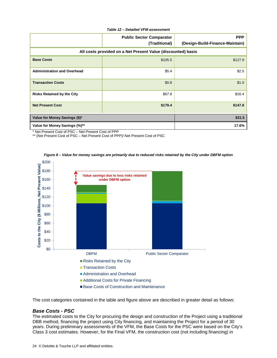#### *Table 12 – Detailed VFM assessment*

|                                                              | <b>Public Sector Comparator</b><br>(Traditional) | <b>PPP</b><br>(Design-Build-Finance-Maintain) |  |  |
|--------------------------------------------------------------|--------------------------------------------------|-----------------------------------------------|--|--|
| All costs provided on a Net Present Value (discounted) basis |                                                  |                                               |  |  |
| <b>Base Costs</b>                                            | \$105.5                                          | \$127.9                                       |  |  |
| <b>Administration and Overhead</b>                           | \$5.4                                            | \$2.5                                         |  |  |
| <b>Transaction Costs</b>                                     | \$0.8                                            | \$1.0                                         |  |  |
| <b>Risks Retained by the City</b>                            | \$67.8                                           | \$16.4                                        |  |  |
| <b>Net Present Cost</b>                                      | \$179.4                                          | \$147.8                                       |  |  |
| Value for Money Savings (\$)*                                |                                                  | \$31.5                                        |  |  |
| Value for Money Savings (%)**                                |                                                  | 17.6%                                         |  |  |

\* Net Present Cost of PSC – Net Present Cost of PPP

\*\* (Net Present Cost of PSC – Net Present Cost of PPP)/ Net Present Cost of PSC





The cost categories contained in the table and figure above are described in greater detail as follows:

### *Base Costs - PSC*

The estimated costs to the City for procuring the design and construction of the Project using a traditional DBB method, financing the project using City financing, and maintaining the Project for a period of 30 years. During preliminary assessments of the VFM, the Base Costs for the PSC were based on the City's Class 3 cost estimates. However, for the Final VFM, the construction cost (not including financing) in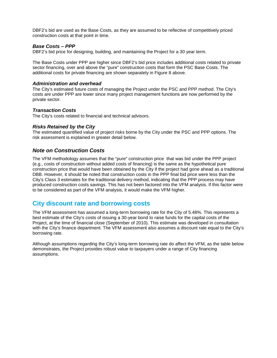DBF2's bid are used as the Base Costs, as they are assumed to be reflective of competitively priced construction costs at that point in time.

## *Base Costs – PPP*

DBF2's bid price for designing, building, and maintaining the Project for a 30 year term.

The Base Costs under PPP are higher since DBF2's bid price includes additional costs related to private sector financing, over and above the "pure" construction costs that form the PSC Base Costs. The additional costs for private financing are shown separately in Figure 8 above.

## *Administration and overhead*

The City's estimated future costs of managing the Project under the PSC and PPP method. The City's costs are under PPP are lower since many project management functions are now performed by the private sector.

## *Transaction Costs*

The City's costs related to financial and technical advisors.

## *Risks Retained by the City*

The estimated quantified value of project risks borne by the City under the PSC and PPP options. The risk assessment is explained in greater detail below.

# *Note on Construction Costs*

The VFM methodology assumes that the "pure" construction price that was bid under the PPP project (e.g., costs of construction without added costs of financing) is the same as the hypothetical pure construction price that would have been obtained by the City if the project had gone ahead as a traditional DBB. However, it should be noted that construction costs in the PPP final bid price were less than the City's Class 3 estimates for the traditional delivery method, indicating that the PPP process may have produced construction costs savings. This has not been factored into the VFM analysis. If this factor were to be considered as part of the VFM analysis, it would make the VFM higher.

# **City discount rate and borrowing costs**

The VFM assessment has assumed a long-term borrowing rate for the City of 5.48%. This represents a best estimate of the City's costs of issuing a 30-year bond to raise funds for the capital costs of the Project, at the time of financial close (September of 2010). This estimate was developed in consultation with the City's finance department. The VFM assessment also assumes a discount rate equal to the City's borrowing rate.

Although assumptions regarding the City's long-term borrowing rate do affect the VFM, as the table below demonstrates, the Project provides robust value to taxpayers under a range of City financing assumptions.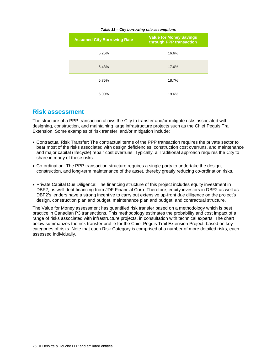| <b>Assumed City Borrowing Rate</b> | <b>Value for Money Savings</b><br>through PPP transaction |  |
|------------------------------------|-----------------------------------------------------------|--|
| 5.25%                              | 16.6%                                                     |  |
| 5.48%                              | 17.6%                                                     |  |
| 5.75%                              | 18.7%                                                     |  |
| 6.00%                              | 19.6%                                                     |  |

#### *Table 13 – City borrowing rate assumptions*

# **Risk assessment**

The structure of a PPP transaction allows the City to transfer and/or mitigate risks associated with designing, construction, and maintaining large infrastructure projects such as the Chief Peguis Trail Extension. Some examples of risk transfer and/or mitigation include:

- Contractual Risk Transfer: The contractual terms of the PPP transaction requires the private sector to bear most of the risks associated with design deficiencies, construction cost overruns, and maintenance and major capital (lifecycle) repair cost overruns. Typically, a Traditional approach requires the City to share in many of these risks.
- Co-ordination: The PPP transaction structure requires a single party to undertake the design, construction, and long-term maintenance of the asset, thereby greatly reducing co-ordination risks.
- Private Capital Due Diligence: The financing structure of this project includes equity investment in DBF2, as well debt financing from JDF Financial Corp. Therefore, equity investors in DBF2 as well as DBF2's lenders have a strong incentive to carry out extensive up-front due diligence on the project's design, construction plan and budget, maintenance plan and budget, and contractual structure.

The Value for Money assessment has quantified risk transfer based on a methodology which is best practice in Canadian P3 transactions. This methodology estimates the probability and cost impact of a range of risks associated with infrastructure projects, in consultation with technical experts. The chart below summarizes the risk transfer profile for the Chief Peguis Trail Extension Project, based on key categories of risks. Note that each Risk Category is comprised of a number of more detailed risks, each assessed individually.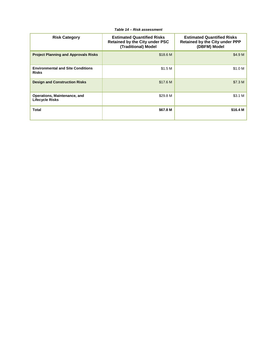| <b>Risk Category</b>                                     | <b>Estimated Quantified Risks</b><br><b>Retained by the City under PSC</b><br>(Traditional) Model | <b>Estimated Quantified Risks</b><br><b>Retained by the City under PPP</b><br>(DBFM) Model |
|----------------------------------------------------------|---------------------------------------------------------------------------------------------------|--------------------------------------------------------------------------------------------|
| <b>Project Planning and Approvals Risks</b>              | \$18.6 M                                                                                          | \$4.9 M                                                                                    |
| <b>Environmental and Site Conditions</b><br><b>Risks</b> | \$1.5 M                                                                                           | \$1.0 M                                                                                    |
| <b>Design and Construction Risks</b>                     | \$17.6 M                                                                                          | \$7.3 M                                                                                    |
| Operations, Maintenance, and<br><b>Lifecycle Risks</b>   | \$29.8 M                                                                                          | \$3.1 M                                                                                    |
| <b>Total</b>                                             | \$67.8 M                                                                                          | \$16.4 M                                                                                   |

*Table 14 – Risk assessment*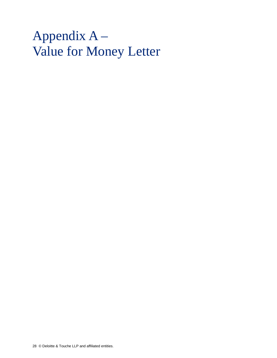# <span id="page-27-0"></span>Appendix A – Value for Money Letter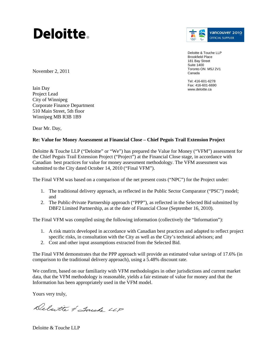# Deloitte.



Deloitte & Touche LLP Brookfield Place 181 Bay Street Suite 1400 Toronto ON M5J 2V1 Canada

Tel: 416-601-6278 Fax: 416-601-6690 www.deloitte.ca

November 2, 2011

Iain Day Project Lead City of Winnipeg Corporate Finance Department 510 Main Street, 5th floor Winnipeg MB R3B 1B9

Dear Mr. Day,

# **Re: Value for Money Assessment at Financial Close – Chief Peguis Trail Extension Project**

Deloitte & Touche LLP ("Deloitte" or "We") has prepared the Value for Money ("VFM") assessment for the Chief Peguis Trail Extension Project ("Project") at the Financial Close stage, in accordance with Canadian best practices for value for money assessment methodology. The VFM assessment was submitted to the City dated October 14, 2010 ("Final VFM").

The Final VFM was based on a comparison of the net present costs ("NPC") for the Project under:

- 1. The traditional delivery approach, as reflected in the Public Sector Comparator ("PSC") model; and
- 2. The Public-Private Partnership approach ("PPP"), as reflected in the Selected Bid submitted by DBF2 Limited Partnership, as at the date of Financial Close (September 16, 2010).

The Final VFM was compiled using the following information (collectively the "Information"):

- 1. A risk matrix developed in accordance with Canadian best practices and adapted to reflect project specific risks, in consultation with the City as well as the City's technical advisors; and
- 2. Cost and other input assumptions extracted from the Selected Bid.

The Final VFM demonstrates that the PPP approach will provide an estimated value savings of 17.6% (in comparison to the traditional delivery approach), using a 5.48% discount rate.

We confirm, based on our familiarity with VFM methodologies in other jurisdictions and current market data, that the VFM methodology is reasonable, yields a fair estimate of value for money and that the Information has been appropriately used in the VFM model.

Yours very truly,

Delatte & Jouch LLP

Deloitte & Touche LLP